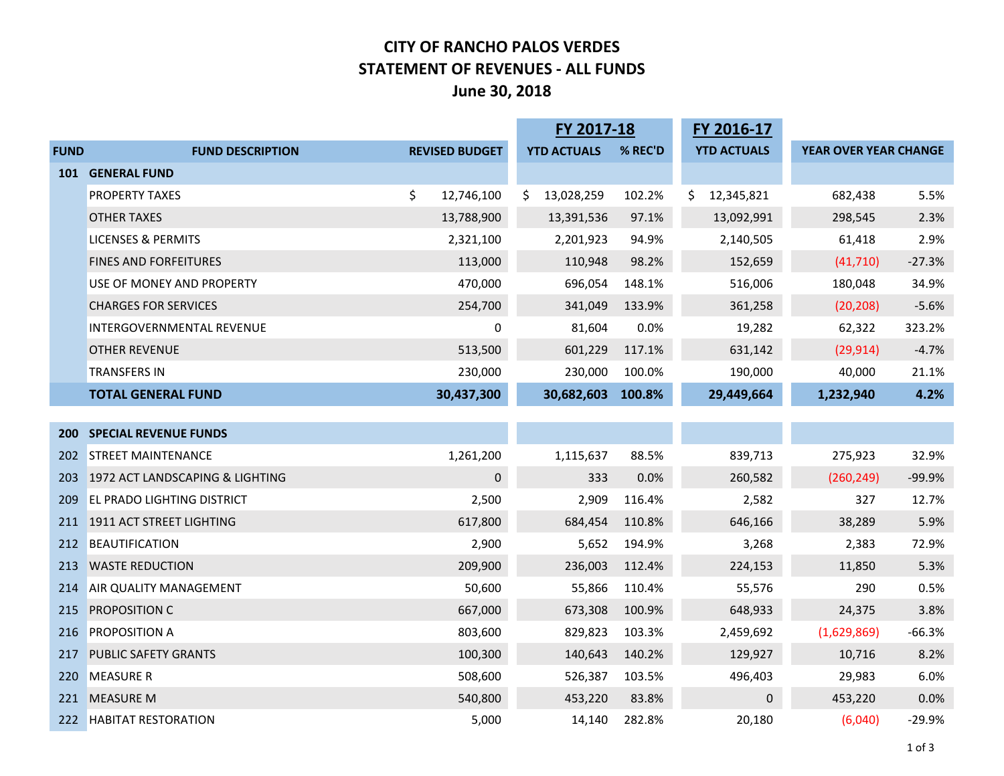# **CITY OF RANCHO PALOS VERDES STATEMENT OF REVENUES - ALL FUNDS June 30, 2018**

|             |                                   |                       | FY 2017-18         |         | FY 2016-17         |                       |          |
|-------------|-----------------------------------|-----------------------|--------------------|---------|--------------------|-----------------------|----------|
| <b>FUND</b> | <b>FUND DESCRIPTION</b>           | <b>REVISED BUDGET</b> | <b>YTD ACTUALS</b> | % REC'D | <b>YTD ACTUALS</b> | YEAR OVER YEAR CHANGE |          |
|             | <b>101 GENERAL FUND</b>           |                       |                    |         |                    |                       |          |
|             | <b>PROPERTY TAXES</b>             | \$<br>12,746,100      | 13,028,259<br>\$.  | 102.2%  | 12,345,821<br>Ś.   | 682,438               | 5.5%     |
|             | <b>OTHER TAXES</b>                | 13,788,900            | 13,391,536         | 97.1%   | 13,092,991         | 298,545               | 2.3%     |
|             | <b>LICENSES &amp; PERMITS</b>     | 2,321,100             | 2,201,923          | 94.9%   | 2,140,505          | 61,418                | 2.9%     |
|             | <b>FINES AND FORFEITURES</b>      | 113,000               | 110,948            | 98.2%   | 152,659            | (41, 710)             | $-27.3%$ |
|             | USE OF MONEY AND PROPERTY         | 470,000               | 696,054            | 148.1%  | 516,006            | 180,048               | 34.9%    |
|             | <b>CHARGES FOR SERVICES</b>       | 254,700               | 341,049            | 133.9%  | 361,258            | (20, 208)             | $-5.6%$  |
|             | INTERGOVERNMENTAL REVENUE         | 0                     | 81,604             | 0.0%    | 19,282             | 62,322                | 323.2%   |
|             | <b>OTHER REVENUE</b>              | 513,500               | 601,229            | 117.1%  | 631,142            | (29, 914)             | $-4.7%$  |
|             | <b>TRANSFERS IN</b>               | 230,000               | 230,000            | 100.0%  | 190,000            | 40,000                | 21.1%    |
|             | <b>TOTAL GENERAL FUND</b>         | 30,437,300            | 30,682,603         | 100.8%  | 29,449,664         | 1,232,940             | 4.2%     |
|             |                                   |                       |                    |         |                    |                       |          |
|             | <b>200 SPECIAL REVENUE FUNDS</b>  |                       |                    |         |                    |                       |          |
| 202         | <b>STREET MAINTENANCE</b>         | 1,261,200             | 1,115,637          | 88.5%   | 839,713            | 275,923               | 32.9%    |
| 203         | 1972 ACT LANDSCAPING & LIGHTING   | 0                     | 333                | 0.0%    | 260,582            | (260, 249)            | $-99.9%$ |
| 209         | <b>EL PRADO LIGHTING DISTRICT</b> | 2,500                 | 2,909              | 116.4%  | 2,582              | 327                   | 12.7%    |
|             | 211 1911 ACT STREET LIGHTING      | 617,800               | 684,454            | 110.8%  | 646,166            | 38,289                | 5.9%     |
| 212         | BEAUTIFICATION                    | 2,900                 | 5,652              | 194.9%  | 3,268              | 2,383                 | 72.9%    |
| 213         | <b>WASTE REDUCTION</b>            | 209,900               | 236,003            | 112.4%  | 224,153            | 11,850                | 5.3%     |
| 214         | <b>AIR QUALITY MANAGEMENT</b>     | 50,600                | 55,866             | 110.4%  | 55,576             | 290                   | 0.5%     |
| 215         | <b>PROPOSITION C</b>              | 667,000               | 673,308            | 100.9%  | 648,933            | 24,375                | 3.8%     |
|             | 216 PROPOSITION A                 | 803,600               | 829,823            | 103.3%  | 2,459,692          | (1,629,869)           | $-66.3%$ |
| 217         | <b>PUBLIC SAFETY GRANTS</b>       | 100,300               | 140,643            | 140.2%  | 129,927            | 10,716                | 8.2%     |
| 220         | <b>MEASURE R</b>                  | 508,600               | 526,387            | 103.5%  | 496,403            | 29,983                | 6.0%     |
| 221         | <b>MEASURE M</b>                  | 540,800               | 453,220            | 83.8%   | 0                  | 453,220               | 0.0%     |
|             | 222 HABITAT RESTORATION           | 5,000                 | 14,140             | 282.8%  | 20,180             | (6,040)               | $-29.9%$ |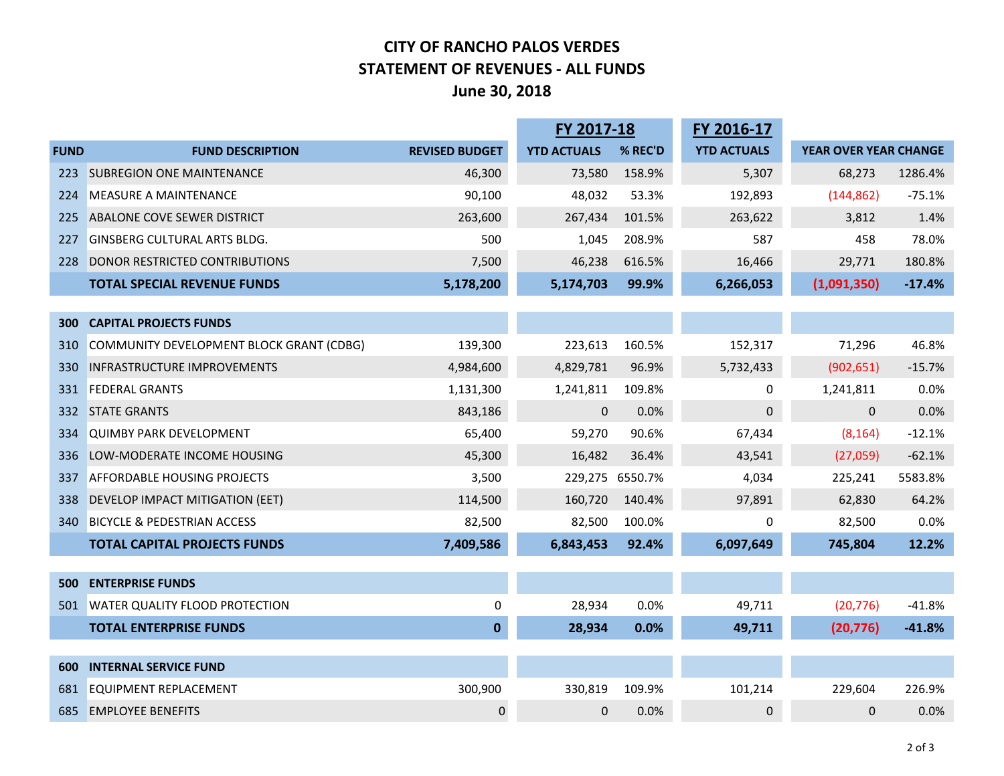# **CITY OF RANCHO PALOS VERDES STATEMENT OF REVENUES - ALL FUNDS June 30, 2018**

|             |                                          |                       | FY 2017-18         |         | FY 2016-17         |                       |          |
|-------------|------------------------------------------|-----------------------|--------------------|---------|--------------------|-----------------------|----------|
| <b>FUND</b> | <b>FUND DESCRIPTION</b>                  | <b>REVISED BUDGET</b> | <b>YTD ACTUALS</b> | % REC'D | <b>YTD ACTUALS</b> | YEAR OVER YEAR CHANGE |          |
| 223         | <b>SUBREGION ONE MAINTENANCE</b>         | 46,300                | 73,580             | 158.9%  | 5,307              | 68,273                | 1286.4%  |
| 224         | <b>MEASURE A MAINTENANCE</b>             | 90,100                | 48,032             | 53.3%   | 192,893            | (144, 862)            | $-75.1%$ |
| 225         | <b>ABALONE COVE SEWER DISTRICT</b>       | 263,600               | 267,434            | 101.5%  | 263,622            | 3,812                 | 1.4%     |
| 227         | <b>GINSBERG CULTURAL ARTS BLDG.</b>      | 500                   | 1,045              | 208.9%  | 587                | 458                   | 78.0%    |
| 228         | DONOR RESTRICTED CONTRIBUTIONS           | 7,500                 | 46,238             | 616.5%  | 16,466             | 29,771                | 180.8%   |
|             | <b>TOTAL SPECIAL REVENUE FUNDS</b>       | 5,178,200             | 5,174,703          | 99.9%   | 6,266,053          | (1,091,350)           | $-17.4%$ |
|             |                                          |                       |                    |         |                    |                       |          |
| 300         | <b>CAPITAL PROJECTS FUNDS</b>            |                       |                    |         |                    |                       |          |
| 310         | COMMUNITY DEVELOPMENT BLOCK GRANT (CDBG) | 139,300               | 223,613            | 160.5%  | 152,317            | 71,296                | 46.8%    |
| 330         | <b>INFRASTRUCTURE IMPROVEMENTS</b>       | 4,984,600             | 4,829,781          | 96.9%   | 5,732,433          | (902, 651)            | $-15.7%$ |
| 331         | <b>FEDERAL GRANTS</b>                    | 1,131,300             | 1,241,811          | 109.8%  | 0                  | 1,241,811             | 0.0%     |
| 332         | <b>STATE GRANTS</b>                      | 843,186               | 0                  | 0.0%    | $\pmb{0}$          | 0                     | 0.0%     |
| 334         | <b>QUIMBY PARK DEVELOPMENT</b>           | 65,400                | 59,270             | 90.6%   | 67,434             | (8, 164)              | $-12.1%$ |
| 336         | LOW-MODERATE INCOME HOUSING              | 45,300                | 16,482             | 36.4%   | 43,541             | (27,059)              | $-62.1%$ |
| 337         | <b>AFFORDABLE HOUSING PROJECTS</b>       | 3,500                 | 229,275 6550.7%    |         | 4,034              | 225,241               | 5583.8%  |
| 338         | DEVELOP IMPACT MITIGATION (EET)          | 114,500               | 160,720            | 140.4%  | 97,891             | 62,830                | 64.2%    |
| 340         | <b>BICYCLE &amp; PEDESTRIAN ACCESS</b>   | 82,500                | 82,500             | 100.0%  | 0                  | 82,500                | 0.0%     |
|             | <b>TOTAL CAPITAL PROJECTS FUNDS</b>      | 7,409,586             | 6,843,453          | 92.4%   | 6,097,649          | 745,804               | 12.2%    |
|             |                                          |                       |                    |         |                    |                       |          |
| 500         | <b>ENTERPRISE FUNDS</b>                  |                       |                    |         |                    |                       |          |
| 501         | <b>WATER QUALITY FLOOD PROTECTION</b>    | 0                     | 28,934             | 0.0%    | 49,711             | (20, 776)             | $-41.8%$ |
|             | <b>TOTAL ENTERPRISE FUNDS</b>            | $\mathbf{0}$          | 28,934             | 0.0%    | 49,711             | (20, 776)             | $-41.8%$ |
|             |                                          |                       |                    |         |                    |                       |          |
| 600         | <b>INTERNAL SERVICE FUND</b>             |                       |                    |         |                    |                       |          |
| 681         | <b>EQUIPMENT REPLACEMENT</b>             | 300,900               | 330,819            | 109.9%  | 101,214            | 229,604               | 226.9%   |
| 685         | <b>EMPLOYEE BENEFITS</b>                 | 0                     | $\mathbf{0}$       | 0.0%    | $\mathbf 0$        | 0                     | 0.0%     |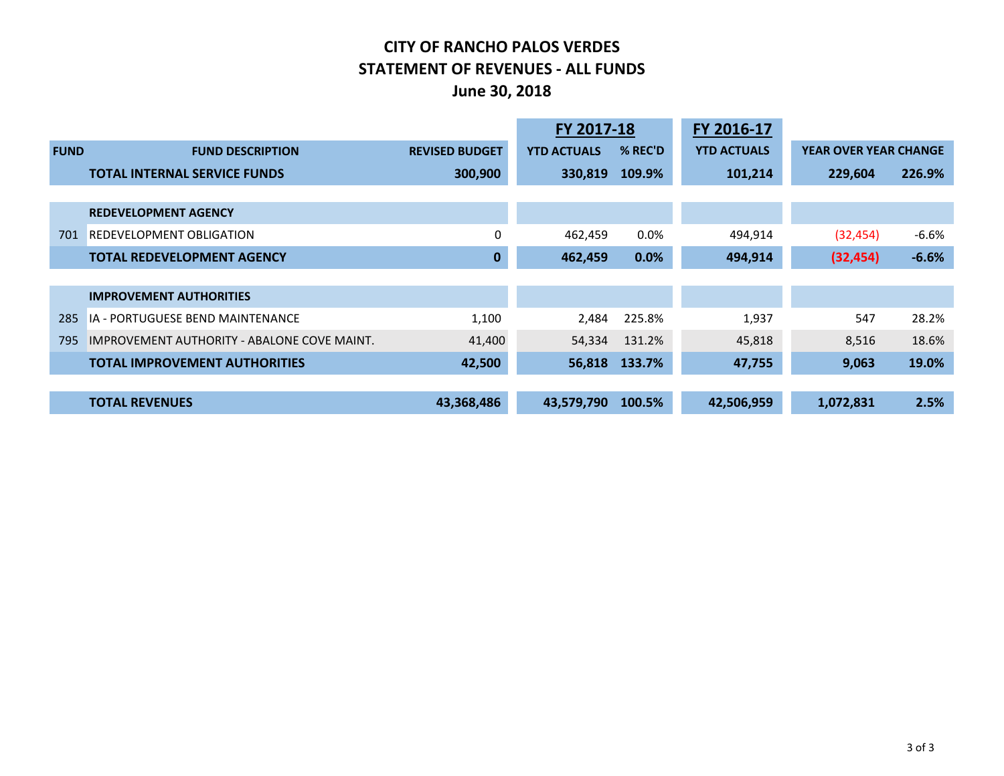# **CITY OF RANCHO PALOS VERDES STATEMENT OF REVENUES - ALL FUNDS June 30, 2018**

|             |                                             |                       | FY 2017-18         |         | FY 2016-17         |                              |         |
|-------------|---------------------------------------------|-----------------------|--------------------|---------|--------------------|------------------------------|---------|
| <b>FUND</b> | <b>FUND DESCRIPTION</b>                     | <b>REVISED BUDGET</b> | <b>YTD ACTUALS</b> | % REC'D | <b>YTD ACTUALS</b> | <b>YEAR OVER YEAR CHANGE</b> |         |
|             | <b>TOTAL INTERNAL SERVICE FUNDS</b>         | 300,900               | 330,819            | 109.9%  | 101,214            | 229,604                      | 226.9%  |
|             |                                             |                       |                    |         |                    |                              |         |
|             | <b>REDEVELOPMENT AGENCY</b>                 |                       |                    |         |                    |                              |         |
| 701         | <b>REDEVELOPMENT OBLIGATION</b>             | 0                     | 462,459            | $0.0\%$ | 494,914            | (32, 454)                    | $-6.6%$ |
|             | <b>TOTAL REDEVELOPMENT AGENCY</b>           | 0                     | 462,459            | 0.0%    | 494,914            | (32, 454)                    | $-6.6%$ |
|             |                                             |                       |                    |         |                    |                              |         |
|             | <b>IMPROVEMENT AUTHORITIES</b>              |                       |                    |         |                    |                              |         |
| 285         | <b>IA - PORTUGUESE BEND MAINTENANCE</b>     | 1,100                 | 2,484              | 225.8%  | 1,937              | 547                          | 28.2%   |
| 795         | IMPROVEMENT AUTHORITY - ABALONE COVE MAINT. | 41,400                | 54,334             | 131.2%  | 45,818             | 8,516                        | 18.6%   |
|             | <b>TOTAL IMPROVEMENT AUTHORITIES</b>        | 42,500                | 56,818             | 133.7%  | 47,755             | 9,063                        | 19.0%   |
|             |                                             |                       |                    |         |                    |                              |         |
|             | <b>TOTAL REVENUES</b>                       | 43,368,486            | 43,579,790         | 100.5%  | 42,506,959         | 1,072,831                    | 2.5%    |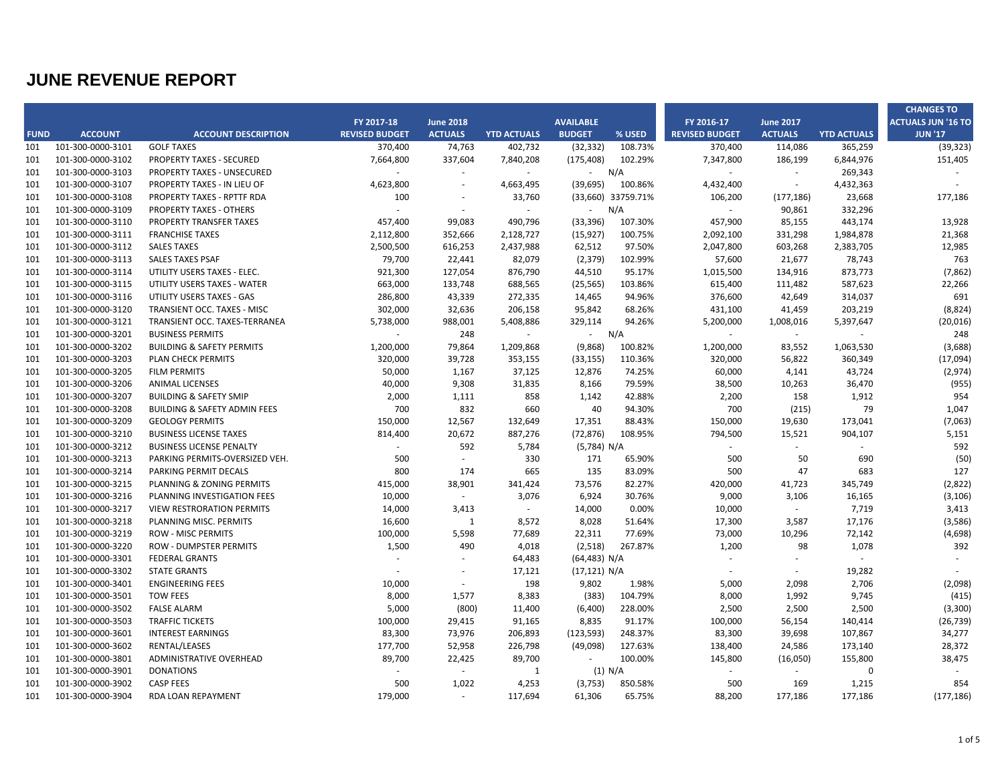|             |                   |                                         |                          |                          |                             |                  |           |                          |                  |                             | <b>CHANGES TO</b>         |
|-------------|-------------------|-----------------------------------------|--------------------------|--------------------------|-----------------------------|------------------|-----------|--------------------------|------------------|-----------------------------|---------------------------|
|             |                   |                                         | FY 2017-18               | <b>June 2018</b>         |                             | <b>AVAILABLE</b> |           | FY 2016-17               | <b>June 2017</b> |                             | <b>ACTUALS JUN '16 TO</b> |
| <b>FUND</b> | <b>ACCOUNT</b>    | <b>ACCOUNT DESCRIPTION</b>              | <b>REVISED BUDGET</b>    | <b>ACTUALS</b>           | <b>YTD ACTUALS</b>          | <b>BUDGET</b>    | % USED    | <b>REVISED BUDGET</b>    | <b>ACTUALS</b>   | <b>YTD ACTUALS</b>          | <b>JUN '17</b>            |
| 101         | 101-300-0000-3101 | <b>GOLF TAXES</b>                       | 370,400                  | 74,763                   | 402,732                     | (32, 332)        | 108.73%   | 370,400                  | 114,086          | 365,259                     | (39, 323)                 |
| 101         | 101-300-0000-3102 | PROPERTY TAXES - SECURED                | 7,664,800                | 337,604                  | 7,840,208                   | (175, 408)       | 102.29%   | 7,347,800                | 186,199          | 6,844,976                   | 151,405                   |
| 101         | 101-300-0000-3103 | PROPERTY TAXES - UNSECURED              | $\sim$                   | $\sim$                   | $\sim$                      | $\sim$           | N/A       | $\sim$                   | $\sim$           | 269,343                     | $\sim$                    |
| 101         | 101-300-0000-3107 | PROPERTY TAXES - IN LIEU OF             | 4,623,800                | $\overline{\phantom{a}}$ | 4,663,495                   | (39, 695)        | 100.86%   | 4,432,400                | $\sim$           | 4,432,363                   |                           |
| 101         | 101-300-0000-3108 | PROPERTY TAXES - RPTTF RDA              | 100                      | $\overline{\phantom{a}}$ | 33,760                      | (33,660)         | 33759.71% | 106,200                  | (177, 186)       | 23,668                      | 177,186                   |
| 101         | 101-300-0000-3109 | PROPERTY TAXES - OTHERS                 | ÷,                       | $\sim$                   | $\mathcal{L}_{\mathcal{A}}$ | $\sim$           | N/A       | $\sim$                   | 90,861           | 332,296                     |                           |
| 101         | 101-300-0000-3110 | PROPERTY TRANSFER TAXES                 | 457,400                  | 99,083                   | 490,796                     | (33, 396)        | 107.30%   | 457,900                  | 85,155           | 443,174                     | 13,928                    |
| 101         | 101-300-0000-3111 | <b>FRANCHISE TAXES</b>                  | 2,112,800                | 352,666                  | 2,128,727                   | (15, 927)        | 100.75%   | 2,092,100                | 331,298          | 1,984,878                   | 21,368                    |
| 101         | 101-300-0000-3112 | <b>SALES TAXES</b>                      | 2,500,500                | 616,253                  | 2,437,988                   | 62,512           | 97.50%    | 2,047,800                | 603,268          | 2,383,705                   | 12,985                    |
| 101         | 101-300-0000-3113 | <b>SALES TAXES PSAF</b>                 | 79,700                   | 22,441                   | 82,079                      | (2, 379)         | 102.99%   | 57,600                   | 21,677           | 78,743                      | 763                       |
| 101         | 101-300-0000-3114 | UTILITY USERS TAXES - ELEC.             | 921,300                  | 127,054                  | 876,790                     | 44,510           | 95.17%    | 1,015,500                | 134,916          | 873,773                     | (7, 862)                  |
| 101         | 101-300-0000-3115 | UTILITY USERS TAXES - WATER             | 663,000                  | 133,748                  | 688,565                     | (25, 565)        | 103.86%   | 615,400                  | 111,482          | 587,623                     | 22,266                    |
| 101         | 101-300-0000-3116 | UTILITY USERS TAXES - GAS               | 286,800                  | 43,339                   | 272,335                     | 14,465           | 94.96%    | 376,600                  | 42,649           | 314,037                     | 691                       |
| 101         | 101-300-0000-3120 | TRANSIENT OCC. TAXES - MISC             | 302,000                  | 32,636                   | 206,158                     | 95,842           | 68.26%    | 431,100                  | 41,459           | 203,219                     | (8,824)                   |
| 101         | 101-300-0000-3121 | TRANSIENT OCC. TAXES-TERRANEA           | 5,738,000                | 988,001                  | 5,408,886                   | 329,114          | 94.26%    | 5,200,000                | 1,008,016        | 5,397,647                   | (20, 016)                 |
| 101         | 101-300-0000-3201 | <b>BUSINESS PERMITS</b>                 | ÷,                       | 248                      | $\mathcal{L}_{\mathcal{A}}$ | $\sim$           | N/A       | $\omega$                 | $\sim$           | $\mathcal{L}_{\mathcal{A}}$ | 248                       |
| 101         | 101-300-0000-3202 | <b>BUILDING &amp; SAFETY PERMITS</b>    | 1,200,000                | 79,864                   | 1,209,868                   | (9,868)          | 100.82%   | 1,200,000                | 83,552           | 1,063,530                   | (3,688)                   |
| 101         | 101-300-0000-3203 | PLAN CHECK PERMITS                      | 320,000                  | 39,728                   | 353,155                     | (33, 155)        | 110.36%   | 320,000                  | 56,822           | 360,349                     | (17,094)                  |
| 101         | 101-300-0000-3205 | <b>FILM PERMITS</b>                     | 50,000                   | 1,167                    | 37,125                      | 12,876           | 74.25%    | 60,000                   | 4,141            | 43,724                      | (2, 974)                  |
| 101         | 101-300-0000-3206 | <b>ANIMAL LICENSES</b>                  | 40,000                   | 9,308                    | 31,835                      | 8,166            | 79.59%    | 38,500                   | 10,263           | 36,470                      | (955)                     |
| 101         | 101-300-0000-3207 | <b>BUILDING &amp; SAFETY SMIP</b>       | 2,000                    | 1,111                    | 858                         | 1,142            | 42.88%    | 2,200                    | 158              | 1,912                       | 954                       |
| 101         | 101-300-0000-3208 | <b>BUILDING &amp; SAFETY ADMIN FEES</b> | 700                      | 832                      | 660                         | 40               | 94.30%    | 700                      | (215)            | 79                          | 1,047                     |
| 101         | 101-300-0000-3209 | <b>GEOLOGY PERMITS</b>                  | 150,000                  | 12,567                   | 132,649                     | 17,351           | 88.43%    | 150,000                  | 19,630           | 173,041                     | (7,063)                   |
| 101         | 101-300-0000-3210 | <b>BUSINESS LICENSE TAXES</b>           | 814,400                  | 20,672                   | 887,276                     | (72, 876)        | 108.95%   | 794,500                  | 15,521           | 904,107                     | 5,151                     |
| 101         | 101-300-0000-3212 | <b>BUSINESS LICENSE PENALTY</b>         | $\overline{\phantom{a}}$ | 592                      | 5,784                       | (5,784) N/A      |           | $\overline{\phantom{a}}$ | $\sim$           | $\sim$                      | 592                       |
| 101         | 101-300-0000-3213 | PARKING PERMITS-OVERSIZED VEH.          | 500                      | $\sim$                   | 330                         | 171              | 65.90%    | 500                      | 50               | 690                         | (50)                      |
| 101         | 101-300-0000-3214 | PARKING PERMIT DECALS                   | 800                      | 174                      | 665                         | 135              | 83.09%    | 500                      | 47               | 683                         | 127                       |
| 101         | 101-300-0000-3215 | PLANNING & ZONING PERMITS               | 415,000                  | 38,901                   | 341,424                     | 73,576           | 82.27%    | 420,000                  | 41,723           | 345,749                     | (2,822)                   |
| 101         | 101-300-0000-3216 | PLANNING INVESTIGATION FEES             | 10,000                   | $\sim$                   | 3,076                       | 6,924            | 30.76%    | 9,000                    | 3,106            | 16,165                      | (3, 106)                  |
| 101         | 101-300-0000-3217 | <b>VIEW RESTRORATION PERMITS</b>        | 14,000                   | 3,413                    | $\sim$                      | 14,000           | 0.00%     | 10,000                   | $\sim$           | 7,719                       | 3,413                     |
| 101         | 101-300-0000-3218 | PLANNING MISC. PERMITS                  | 16,600                   | 1                        | 8,572                       | 8,028            | 51.64%    | 17,300                   | 3,587            | 17,176                      | (3,586)                   |
| 101         | 101-300-0000-3219 | <b>ROW - MISC PERMITS</b>               | 100,000                  | 5,598                    | 77,689                      | 22,311           | 77.69%    | 73,000                   | 10,296           | 72,142                      | (4,698)                   |
| 101         | 101-300-0000-3220 | ROW - DUMPSTER PERMITS                  | 1,500                    | 490                      | 4,018                       | (2,518)          | 267.87%   | 1,200                    | 98               | 1,078                       | 392                       |
| 101         | 101-300-0000-3301 | <b>FEDERAL GRANTS</b>                   | $\sim$                   |                          | 64,483                      | (64, 483) N/A    |           | $\sim$                   | $\sim$           | $\sim$                      | $\sim$                    |
| 101         | 101-300-0000-3302 | <b>STATE GRANTS</b>                     | ÷,                       | $\sim$                   | 17,121                      | (17, 121) N/A    |           | $\sim$                   | $\sim$           | 19,282                      |                           |
| 101         | 101-300-0000-3401 | <b>ENGINEERING FEES</b>                 | 10,000                   | $\sim$                   | 198                         | 9,802            | 1.98%     | 5,000                    | 2,098            | 2,706                       | (2,098)                   |
| 101         | 101-300-0000-3501 | <b>TOW FEES</b>                         | 8,000                    | 1,577                    | 8,383                       | (383)            | 104.79%   | 8,000                    | 1,992            | 9,745                       | (415)                     |
| 101         | 101-300-0000-3502 | <b>FALSE ALARM</b>                      | 5,000                    | (800)                    | 11,400                      | (6,400)          | 228.00%   | 2,500                    | 2,500            | 2,500                       | (3,300)                   |
| 101         | 101-300-0000-3503 | <b>TRAFFIC TICKETS</b>                  | 100,000                  | 29,415                   | 91,165                      | 8,835            | 91.17%    | 100,000                  | 56,154           | 140,414                     | (26, 739)                 |
| 101         | 101-300-0000-3601 | <b>INTEREST EARNINGS</b>                | 83,300                   | 73,976                   | 206,893                     | (123, 593)       | 248.37%   | 83,300                   | 39,698           | 107,867                     | 34,277                    |
| 101         | 101-300-0000-3602 | RENTAL/LEASES                           | 177,700                  | 52,958                   | 226,798                     | (49,098)         | 127.63%   | 138,400                  | 24,586           | 173,140                     | 28,372                    |
| 101         | 101-300-0000-3801 | ADMINISTRATIVE OVERHEAD                 | 89,700                   | 22,425                   | 89,700                      | $\sim$           | 100.00%   | 145,800                  | (16,050)         | 155,800                     | 38,475                    |
| 101         | 101-300-0000-3901 | <b>DONATIONS</b>                        | $\sim$                   | $\sim$                   | $\mathbf{1}$                |                  | (1) N/A   | $\sim$                   | $\sim$           | $\Omega$                    | ÷.                        |
| 101         | 101-300-0000-3902 | <b>CASP FEES</b>                        | 500                      | 1,022                    | 4,253                       | (3, 753)         | 850.58%   | 500                      | 169              | 1,215                       | 854                       |
| 101         | 101-300-0000-3904 | RDA LOAN REPAYMENT                      | 179,000                  | $\sim$                   | 117,694                     | 61,306           | 65.75%    | 88,200                   | 177,186          | 177,186                     | (177, 186)                |
|             |                   |                                         |                          |                          |                             |                  |           |                          |                  |                             |                           |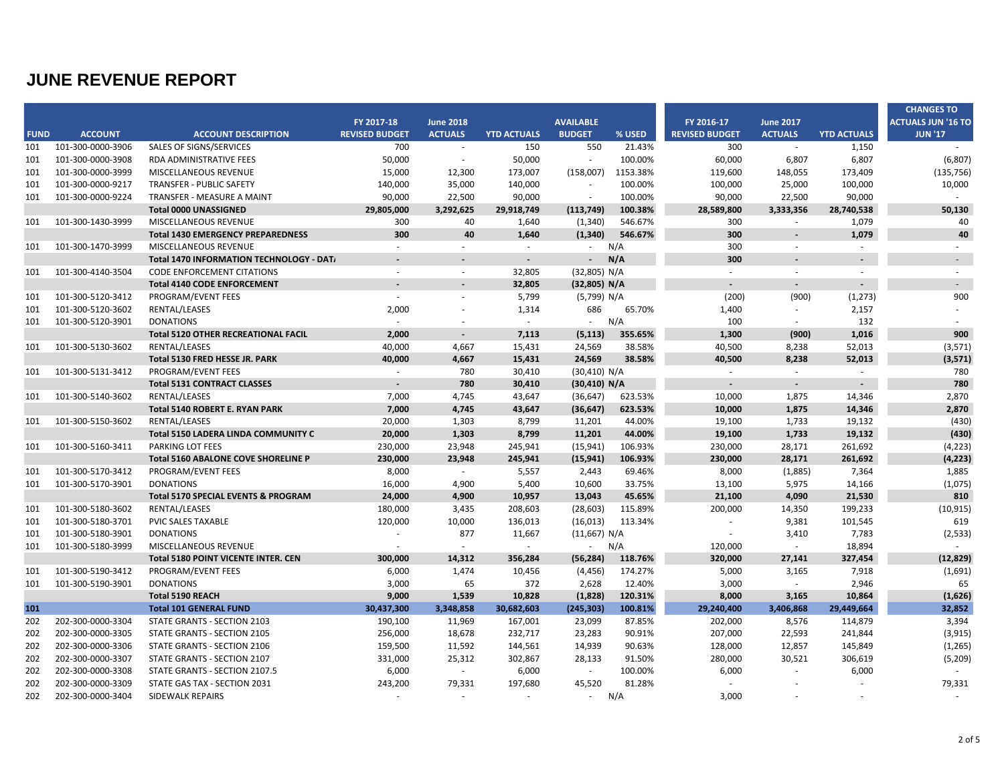|             |                   |                                            |                       |                          |                    |                          |          |                          |                          |                    | <b>CHANGES TO</b>         |
|-------------|-------------------|--------------------------------------------|-----------------------|--------------------------|--------------------|--------------------------|----------|--------------------------|--------------------------|--------------------|---------------------------|
|             |                   |                                            | FY 2017-18            | <b>June 2018</b>         |                    | <b>AVAILABLE</b>         |          | FY 2016-17               | <b>June 2017</b>         |                    | <b>ACTUALS JUN '16 TO</b> |
| <b>FUND</b> | <b>ACCOUNT</b>    | <b>ACCOUNT DESCRIPTION</b>                 | <b>REVISED BUDGET</b> | <b>ACTUALS</b>           | <b>YTD ACTUALS</b> | <b>BUDGET</b>            | % USED   | <b>REVISED BUDGET</b>    | <b>ACTUALS</b>           | <b>YTD ACTUALS</b> | <b>JUN '17</b>            |
| 101         | 101-300-0000-3906 | <b>SALES OF SIGNS/SERVICES</b>             | 700                   | $\overline{\phantom{a}}$ | 150                | 550                      | 21.43%   | 300                      | $\sim$                   | 1,150              |                           |
| 101         | 101-300-0000-3908 | <b>RDA ADMINISTRATIVE FEES</b>             | 50,000                | $\sim$                   | 50,000             |                          | 100.00%  | 60,000                   | 6,807                    | 6,807              | (6,807)                   |
| 101         | 101-300-0000-3999 | MISCELLANEOUS REVENUE                      | 15,000                | 12,300                   | 173,007            | (158,007)                | 1153.38% | 119,600                  | 148,055                  | 173,409            | (135, 756)                |
| 101         | 101-300-0000-9217 | <b>TRANSFER - PUBLIC SAFETY</b>            | 140,000               | 35,000                   | 140,000            | $\sim$                   | 100.00%  | 100,000                  | 25,000                   | 100,000            | 10,000                    |
| 101         | 101-300-0000-9224 | TRANSFER - MEASURE A MAINT                 | 90,000                | 22,500                   | 90,000             | $\overline{\phantom{a}}$ | 100.00%  | 90,000                   | 22,500                   | 90,000             |                           |
|             |                   | Total 0000 UNASSIGNED                      | 29,805,000            | 3,292,625                | 29,918,749         | (113, 749)               | 100.38%  | 28,589,800               | 3,333,356                | 28,740,538         | 50,130                    |
| 101         | 101-300-1430-3999 | MISCELLANEOUS REVENUE                      | 300                   | 40                       | 1,640              | (1, 340)                 | 546.67%  | 300                      | $\sim$                   | 1,079              | 40                        |
|             |                   | <b>Total 1430 EMERGENCY PREPAREDNESS</b>   | 300                   | 40                       | 1,640              | (1, 340)                 | 546.67%  | 300                      | $\overline{\phantom{a}}$ | 1,079              | 40                        |
| 101         | 101-300-1470-3999 | <b>MISCELLANEOUS REVENUE</b>               | $\sim$                |                          | $\sim$             | $\sim$                   | N/A      | 300                      | $\sim$                   |                    |                           |
|             |                   | Total 1470 INFORMATION TECHNOLOGY - DAT/   |                       |                          |                    |                          | N/A      | 300                      |                          |                    | $\sim$                    |
| 101         | 101-300-4140-3504 | <b>CODE ENFORCEMENT CITATIONS</b>          | $\sim$                | $\sim$                   | 32,805             | (32,805) N/A             |          | $\sim$                   | $\sim$                   | $\sim$             | $\sim$                    |
|             |                   | <b>Total 4140 CODE ENFORCEMENT</b>         |                       | $\overline{\phantom{a}}$ | 32,805             | (32,805) N/A             |          | $\overline{\phantom{a}}$ |                          |                    | $\overline{\phantom{a}}$  |
| 101         | 101-300-5120-3412 | PROGRAM/EVENT FEES                         | ÷.                    |                          | 5,799              | (5,799) N/A              |          | (200)                    | (900)                    | (1, 273)           | 900                       |
| 101         | 101-300-5120-3602 | RENTAL/LEASES                              | 2,000                 |                          | 1,314              | 686                      | 65.70%   | 1,400                    | $\sim$                   | 2,157              |                           |
| 101         | 101-300-5120-3901 | <b>DONATIONS</b>                           | $\sim$                |                          | $\sim$             | $\sim$                   | N/A      | 100                      | $\sim$                   | 132                |                           |
|             |                   | <b>Total 5120 OTHER RECREATIONAL FACIL</b> | 2,000                 | $\sim$                   | 7.113              | (5, 113)                 | 355.65%  | 1,300                    | (900)                    | 1,016              | 900                       |
| 101         | 101-300-5130-3602 | RENTAL/LEASES                              | 40,000                | 4,667                    | 15,431             | 24,569                   | 38.58%   | 40,500                   | 8,238                    | 52,013             | (3, 571)                  |
|             |                   | Total 5130 FRED HESSE JR. PARK             | 40,000                | 4,667                    | 15,431             | 24,569                   | 38.58%   | 40,500                   | 8,238                    | 52,013             | (3,571)                   |
| 101         | 101-300-5131-3412 | PROGRAM/EVENT FEES                         | $\sim$                | 780                      | 30,410             | (30, 410) N/A            |          | $\sim$                   | $\sim$                   | $\sim$             | 780                       |
|             |                   | <b>Total 5131 CONTRACT CLASSES</b>         |                       | 780                      | 30,410             | (30, 410) N/A            |          |                          | $\blacksquare$           |                    | 780                       |
| 101         | 101-300-5140-3602 | RENTAL/LEASES                              | 7,000                 | 4,745                    | 43,647             | (36, 647)                | 623.53%  | 10,000                   | 1,875                    | 14,346             | 2,870                     |
|             |                   | Total 5140 ROBERT E. RYAN PARK             | 7,000                 | 4,745                    | 43,647             | (36, 647)                | 623.53%  | 10,000                   | 1,875                    | 14,346             | 2,870                     |
| 101         | 101-300-5150-3602 | RENTAL/LEASES                              | 20.000                | 1.303                    | 8.799              | 11,201                   | 44.00%   | 19.100                   | 1,733                    | 19.132             | (430)                     |
|             |                   | Total 5150 LADERA LINDA COMMUNITY C        | 20,000                | 1,303                    | 8,799              | 11,201                   | 44.00%   | 19,100                   | 1,733                    | 19,132             | (430)                     |
| 101         | 101-300-5160-3411 | <b>PARKING LOT FEES</b>                    | 230,000               | 23,948                   | 245,941            | (15, 941)                | 106.93%  | 230,000                  | 28,171                   | 261,692            | (4, 223)                  |
|             |                   | Total 5160 ABALONE COVE SHORELINE P        | 230,000               | 23,948                   | 245,941            | (15, 941)                | 106.93%  | 230,000                  | 28,171                   | 261,692            | (4, 223)                  |
| 101         | 101-300-5170-3412 | PROGRAM/EVENT FEES                         | 8,000                 | $\sim$                   | 5,557              | 2,443                    | 69.46%   | 8,000                    | (1,885)                  | 7,364              | 1,885                     |
| 101         | 101-300-5170-3901 | <b>DONATIONS</b>                           | 16,000                | 4,900                    | 5,400              | 10,600                   | 33.75%   | 13,100                   | 5,975                    | 14,166             | (1,075)                   |
|             |                   | Total 5170 SPECIAL EVENTS & PROGRAM        | 24,000                | 4,900                    | 10,957             | 13,043                   | 45.65%   | 21,100                   | 4,090                    | 21,530             | 810                       |
| 101         | 101-300-5180-3602 | RENTAL/LEASES                              | 180,000               | 3,435                    | 208,603            | (28, 603)                | 115.89%  | 200,000                  | 14,350                   | 199,233            | (10, 915)                 |
| 101         | 101-300-5180-3701 | PVIC SALES TAXABLE                         | 120,000               | 10,000                   | 136,013            | (16, 013)                | 113.34%  | $\sim$                   | 9,381                    | 101,545            | 619                       |
| 101         | 101-300-5180-3901 | <b>DONATIONS</b>                           | $\sim$                | 877                      | 11,667             | (11,667) N/A             |          | $\overline{\phantom{a}}$ | 3,410                    | 7,783              | (2, 533)                  |
| 101         | 101-300-5180-3999 | MISCELLANEOUS REVENUE                      | $\sim$                | $\sim$                   | $\sim$             | $\sim 100$               | N/A      | 120,000                  | $\sim$                   | 18,894             | $\sim$                    |
|             |                   | Total 5180 POINT VICENTE INTER. CEN        | 300,000               | 14,312                   | 356,284            | (56, 284)                | 118.76%  | 320,000                  | 27,141                   | 327,454            | (12, 829)                 |
| 101         | 101-300-5190-3412 | PROGRAM/EVENT FEES                         | 6,000                 | 1,474                    | 10,456             | (4, 456)                 | 174.27%  | 5,000                    | 3,165                    | 7,918              | (1,691)                   |
| 101         | 101-300-5190-3901 | <b>DONATIONS</b>                           | 3,000                 | 65                       | 372                | 2,628                    | 12.40%   | 3,000                    | $\sim$                   | 2,946              | 65                        |
|             |                   | Total 5190 REACH                           | 9,000                 | 1,539                    | 10,828             | (1,828)                  | 120.31%  | 8,000                    | 3,165                    | 10,864             | (1,626)                   |
| 101         |                   | <b>Total 101 GENERAL FUND</b>              | 30,437,300            | 3,348,858                | 30,682,603         | (245, 303)               | 100.81%  | 29,240,400               | 3,406,868                | 29,449,664         | 32,852                    |
| 202         | 202-300-0000-3304 | STATE GRANTS - SECTION 2103                | 190,100               | 11,969                   | 167,001            | 23,099                   | 87.85%   | 202,000                  | 8,576                    | 114,879            | 3,394                     |
| 202         | 202-300-0000-3305 | STATE GRANTS - SECTION 2105                | 256,000               | 18,678                   | 232,717            | 23,283                   | 90.91%   | 207,000                  | 22,593                   | 241,844            | (3, 915)                  |
| 202         | 202-300-0000-3306 | STATE GRANTS - SECTION 2106                | 159,500               | 11,592                   | 144,561            | 14,939                   | 90.63%   | 128,000                  | 12,857                   | 145,849            | (1, 265)                  |
| 202         | 202-300-0000-3307 | STATE GRANTS - SECTION 2107                | 331,000               | 25,312                   | 302,867            | 28,133                   | 91.50%   | 280,000                  | 30,521                   | 306,619            | (5, 209)                  |
| 202         | 202-300-0000-3308 | STATE GRANTS - SECTION 2107.5              | 6,000                 | $\sim$                   | 6,000              | $\sim$                   | 100.00%  | 6,000                    | $\sim$                   | 6,000              | $\sim$                    |
| 202         | 202-300-0000-3309 | STATE GAS TAX - SECTION 2031               | 243,200               | 79,331                   | 197,680            | 45,520                   | 81.28%   |                          |                          |                    | 79,331                    |
| 202         | 202-300-0000-3404 | SIDEWALK REPAIRS                           | $\sim$                |                          |                    | $\sim$                   | N/A      | 3,000                    |                          |                    |                           |
|             |                   |                                            |                       |                          |                    |                          |          |                          |                          |                    |                           |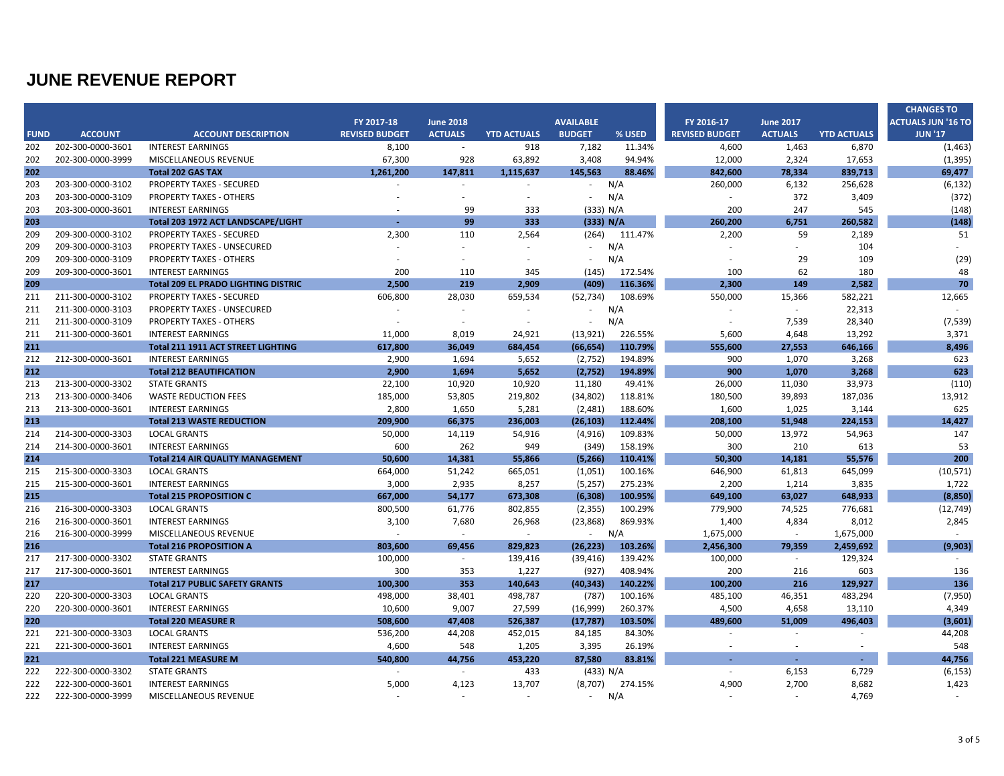|             |                   |                                            |                       |                  |                    |                  |         |                       |                  |                    | <b>CHANGES TO</b>         |
|-------------|-------------------|--------------------------------------------|-----------------------|------------------|--------------------|------------------|---------|-----------------------|------------------|--------------------|---------------------------|
|             |                   |                                            | FY 2017-18            | <b>June 2018</b> |                    | <b>AVAILABLE</b> |         | FY 2016-17            | <b>June 2017</b> |                    | <b>ACTUALS JUN '16 TO</b> |
| <b>FUND</b> | <b>ACCOUNT</b>    | <b>ACCOUNT DESCRIPTION</b>                 | <b>REVISED BUDGET</b> | <b>ACTUALS</b>   | <b>YTD ACTUALS</b> | <b>BUDGET</b>    | % USED  | <b>REVISED BUDGET</b> | <b>ACTUALS</b>   | <b>YTD ACTUALS</b> | <b>JUN '17</b>            |
| 202         | 202-300-0000-3601 | <b>INTEREST EARNINGS</b>                   | 8,100                 | $\sim$           | 918                | 7,182            | 11.34%  | 4,600                 | 1,463            | 6,870              | (1, 463)                  |
| 202         | 202-300-0000-3999 | <b>MISCELLANEOUS REVENUE</b>               | 67,300                | 928              | 63,892             | 3,408            | 94.94%  | 12,000                | 2,324            | 17,653             | (1, 395)                  |
| 202         |                   | <b>Total 202 GAS TAX</b>                   | 1.261.200             | 147,811          | 1,115,637          | 145,563          | 88.46%  | 842,600               | 78,334           | 839,713            | 69,477                    |
| 203         | 203-300-0000-3102 | <b>PROPERTY TAXES - SECURED</b>            |                       |                  |                    | $\sim$           | N/A     | 260,000               | 6,132            | 256,628            | (6, 132)                  |
| 203         | 203-300-0000-3109 | <b>PROPERTY TAXES - OTHERS</b>             |                       |                  | $\sim$             |                  | N/A     | ÷.                    | 372              | 3,409              | (372)                     |
| 203         | 203-300-0000-3601 | <b>INTEREST EARNINGS</b>                   |                       | 99               | 333                | (333) N/A        |         | 200                   | 247              | 545                | (148)                     |
| 203         |                   | Total 203 1972 ACT LANDSCAPE/LIGHT         |                       | 99               | 333                | (333) N/A        |         | 260,200               | 6,751            | 260,582            | (148)                     |
| 209         | 209-300-0000-3102 | <b>PROPERTY TAXES - SECURED</b>            | 2,300                 | 110              | 2,564              | (264)            | 111.47% | 2,200                 | 59               | 2,189              | 51                        |
| 209         | 209-300-0000-3103 | PROPERTY TAXES - UNSECURED                 |                       |                  |                    |                  | N/A     |                       |                  | 104                |                           |
| 209         | 209-300-0000-3109 | <b>PROPERTY TAXES - OTHERS</b>             | $\overline{a}$        | $\overline{a}$   | $\sim$             | $\sim$           | N/A     |                       | 29               | 109                | (29)                      |
| 209         | 209-300-0000-3601 | <b>INTEREST EARNINGS</b>                   | 200                   | 110              | 345                | (145)            | 172.54% | 100                   | 62               | 180                | 48                        |
| 209         |                   | <b>Total 209 EL PRADO LIGHTING DISTRIC</b> | 2.500                 | 219              | 2.909              | (409)            | 116.36% | 2.300                 | 149              | 2.582              | 70                        |
| 211         | 211-300-0000-3102 | <b>PROPERTY TAXES - SECURED</b>            | 606,800               | 28,030           | 659,534            | (52, 734)        | 108.69% | 550,000               | 15,366           | 582,221            | 12,665                    |
| 211         | 211-300-0000-3103 | <b>PROPERTY TAXES - UNSECURED</b>          | $\sim$                | $\omega$         |                    | $\sim$           | N/A     |                       | $\sim$           | 22,313             |                           |
| 211         | 211-300-0000-3109 | <b>PROPERTY TAXES - OTHERS</b>             | $\sim$                | $\sim$           |                    |                  | N/A     | $\overline{a}$        | 7,539            | 28,340             | (7, 539)                  |
| 211         | 211-300-0000-3601 | <b>INTEREST EARNINGS</b>                   | 11,000                | 8,019            | 24,921             | (13, 921)        | 226.55% | 5,600                 | 4,648            | 13,292             | 3,371                     |
| 211         |                   | Total 211 1911 ACT STREET LIGHTING         | 617,800               | 36,049           | 684,454            | (66, 654)        | 110.79% | 555,600               | 27,553           | 646,166            | 8,496                     |
| 212         | 212-300-0000-3601 | <b>INTEREST EARNINGS</b>                   | 2,900                 | 1,694            | 5,652              | (2,752)          | 194.89% | 900                   | 1,070            | 3,268              | 623                       |
| 212         |                   | <b>Total 212 BEAUTIFICATION</b>            | 2,900                 | 1,694            | 5,652              | (2,752)          | 194.89% | 900                   | 1,070            | 3,268              | 623                       |
| 213         | 213-300-0000-3302 | <b>STATE GRANTS</b>                        | 22,100                | 10,920           | 10,920             | 11,180           | 49.41%  | 26,000                | 11,030           | 33,973             | (110)                     |
| 213         | 213-300-0000-3406 | <b>WASTE REDUCTION FEES</b>                | 185,000               | 53,805           | 219,802            | (34, 802)        | 118.81% | 180,500               | 39,893           | 187,036            | 13,912                    |
| 213         | 213-300-0000-3601 | <b>INTEREST EARNINGS</b>                   | 2,800                 | 1,650            | 5,281              | (2,481)          | 188.60% | 1,600                 | 1,025            | 3,144              | 625                       |
| 213         |                   | <b>Total 213 WASTE REDUCTION</b>           | 209,900               | 66,375           | 236,003            | (26, 103)        | 112.44% | 208,100               | 51,948           | 224.153            | 14,427                    |
| 214         | 214-300-0000-3303 | <b>LOCAL GRANTS</b>                        | 50,000                | 14,119           | 54,916             | (4, 916)         | 109.83% | 50,000                | 13,972           | 54,963             | 147                       |
| 214         | 214-300-0000-3601 | <b>INTEREST EARNINGS</b>                   | 600                   | 262              | 949                | (349)            | 158.19% | 300                   | 210              | 613                | 53                        |
| 214         |                   | <b>Total 214 AIR QUALITY MANAGEMENT</b>    | 50,600                | 14,381           | 55,866             | (5,266)          | 110.41% | 50,300                | 14,181           | 55,576             | 200                       |
| 215         | 215-300-0000-3303 | <b>LOCAL GRANTS</b>                        | 664,000               | 51,242           | 665,051            | (1,051)          | 100.16% | 646,900               | 61,813           | 645,099            | (10, 571)                 |
| 215         | 215-300-0000-3601 | <b>INTEREST EARNINGS</b>                   | 3,000                 | 2,935            | 8,257              | (5,257)          | 275.23% | 2,200                 | 1,214            | 3,835              | 1,722                     |
| 215         |                   | <b>Total 215 PROPOSITION C</b>             | 667,000               | 54,177           | 673,308            | (6,308)          | 100.95% | 649,100               | 63,027           | 648,933            | (8,850)                   |
| 216         | 216-300-0000-3303 | <b>LOCAL GRANTS</b>                        | 800,500               | 61,776           | 802,855            | (2, 355)         | 100.29% | 779,900               | 74,525           | 776,681            | (12, 749)                 |
| 216         | 216-300-0000-3601 | <b>INTEREST EARNINGS</b>                   | 3,100                 | 7,680            | 26,968             | (23, 868)        | 869.93% | 1,400                 | 4,834            | 8,012              | 2,845                     |
| 216         | 216-300-0000-3999 | MISCELLANEOUS REVENUE                      | $\sim$                | $\sim$           | $\sim$             | $\sim$           | N/A     | 1,675,000             | $\sim$           | 1,675,000          | $\sim$                    |
| 216         |                   | <b>Total 216 PROPOSITION A</b>             | 803.600               | 69,456           | 829.823            | (26, 223)        | 103.26% | 2,456,300             | 79,359           | 2,459,692          | (9,903)                   |
| 217         | 217-300-0000-3302 | <b>STATE GRANTS</b>                        | 100,000               | $\sim$           | 139,416            | (39, 416)        | 139.42% | 100,000               | $\sim$           | 129,324            |                           |
| 217         | 217-300-0000-3601 | <b>INTEREST EARNINGS</b>                   | 300                   | 353              | 1,227              | (927)            | 408.94% | 200                   | 216              | 603                | 136                       |
| 217         |                   | <b>Total 217 PUBLIC SAFETY GRANTS</b>      | 100,300               | 353              | 140,643            | (40, 343)        | 140.22% | 100,200               | 216              | 129,927            | 136                       |
| 220         | 220-300-0000-3303 | <b>LOCAL GRANTS</b>                        | 498,000               | 38,401           | 498,787            | (787)            | 100.16% | 485,100               | 46,351           | 483,294            | (7,950)                   |
| 220         | 220-300-0000-3601 | <b>INTEREST EARNINGS</b>                   | 10,600                | 9,007            | 27,599             | (16,999)         | 260.37% | 4,500                 | 4,658            | 13,110             | 4,349                     |
| 220         |                   | <b>Total 220 MEASURE R</b>                 | 508,600               | 47,408           | 526,387            | (17, 787)        | 103.50% | 489,600               | 51,009           | 496,403            | (3,601)                   |
| 221         | 221-300-0000-3303 | <b>LOCAL GRANTS</b>                        | 536,200               | 44,208           | 452,015            | 84,185           | 84.30%  | ÷.                    | $\sim$           | ×.                 | 44,208                    |
| 221         | 221-300-0000-3601 | <b>INTEREST EARNINGS</b>                   | 4,600                 | 548              | 1,205              | 3,395            | 26.19%  | ÷.                    | $\sim$           | ×.                 | 548                       |
| 221         |                   | <b>Total 221 MEASURE M</b>                 | 540,800               | 44,756           | 453,220            | 87,580           | 83.81%  |                       | $\sim$           | $\sim$             | 44,756                    |
| 222         | 222-300-0000-3302 | <b>STATE GRANTS</b>                        | $\sim$                | $\sim$           | 433                | (433) N/A        |         | $\sim$                | 6,153            | 6,729              | (6, 153)                  |
| 222         | 222-300-0000-3601 | <b>INTEREST EARNINGS</b>                   | 5,000                 | 4,123            | 13,707             | (8,707)          | 274.15% | 4,900                 | 2,700            | 8,682              | 1,423                     |
| 222         | 222-300-0000-3999 | MISCELLANEOUS REVENUE                      | $\sim$                | $\sim$           | $\sim$             | $\sim$           | N/A     | $\sim$                |                  | 4,769              |                           |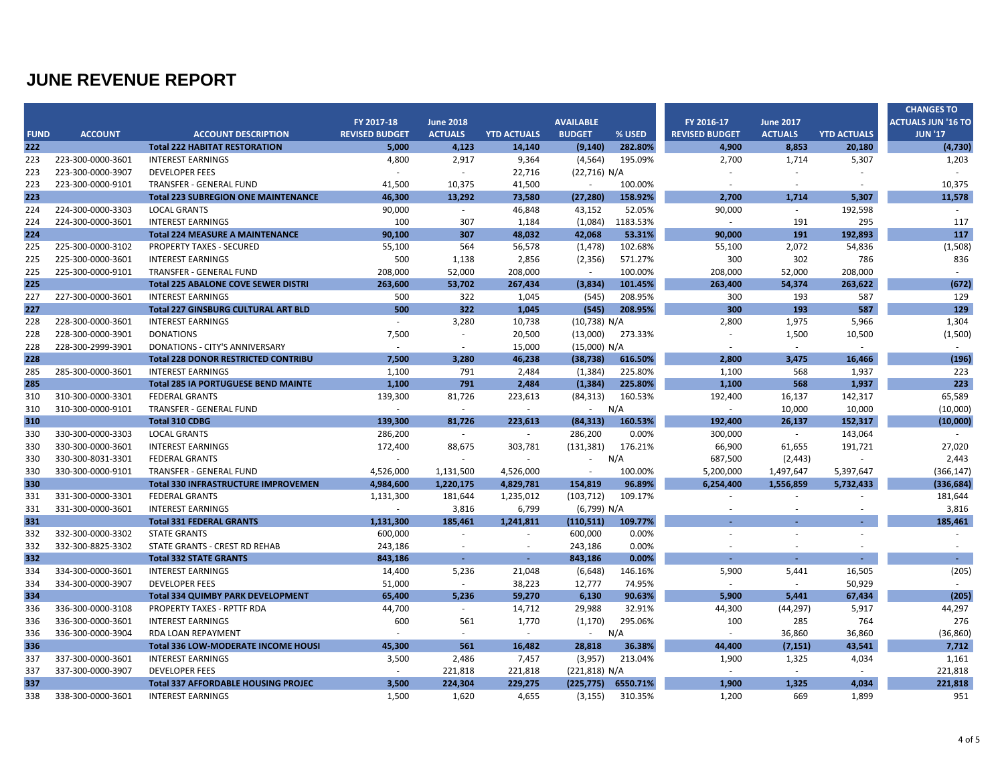|             |                   |                                            |                       |                          |                    |                  |          |                       |                          |                    | <b>CHANGES TO</b>         |
|-------------|-------------------|--------------------------------------------|-----------------------|--------------------------|--------------------|------------------|----------|-----------------------|--------------------------|--------------------|---------------------------|
|             |                   |                                            | FY 2017-18            | <b>June 2018</b>         |                    | <b>AVAILABLE</b> |          | FY 2016-17            | <b>June 2017</b>         |                    | <b>ACTUALS JUN '16 TO</b> |
| <b>FUND</b> | <b>ACCOUNT</b>    | <b>ACCOUNT DESCRIPTION</b>                 | <b>REVISED BUDGET</b> | <b>ACTUALS</b>           | <b>YTD ACTUALS</b> | <b>BUDGET</b>    | % USED   | <b>REVISED BUDGET</b> | <b>ACTUALS</b>           | <b>YTD ACTUALS</b> | <b>JUN '17</b>            |
| 222         |                   | <b>Total 222 HABITAT RESTORATION</b>       | 5,000                 | 4,123                    | 14,140             | (9, 140)         | 282.80%  | 4,900                 | 8,853                    | 20,180             | (4, 730)                  |
| 223         | 223-300-0000-3601 | <b>INTEREST EARNINGS</b>                   | 4,800                 | 2,917                    | 9,364              | (4, 564)         | 195.09%  | 2,700                 | 1,714                    | 5,307              | 1,203                     |
| 223         | 223-300-0000-3907 | <b>DEVELOPER FEES</b>                      | $\sim$                | $\sim$                   | 22,716             | (22,716) N/A     |          |                       | ä,                       |                    | $\sim$                    |
| 223         | 223-300-0000-9101 | TRANSFER - GENERAL FUND                    | 41,500                | 10,375                   | 41,500             | $\sim$           | 100.00%  |                       |                          |                    | 10,375                    |
| 223         |                   | <b>Total 223 SUBREGION ONE MAINTENANCE</b> | 46,300                | 13,292                   | 73,580             | (27, 280)        | 158.92%  | 2,700                 | 1,714                    | 5,307              | 11,578                    |
| 224         | 224-300-0000-3303 | <b>LOCAL GRANTS</b>                        | 90,000                | $\sim$                   | 46,848             | 43,152           | 52.05%   | 90,000                | $\sim$                   | 192,598            | $\sim$                    |
| 224         | 224-300-0000-3601 | <b>INTEREST EARNINGS</b>                   | 100                   | 307                      | 1,184              | (1,084)          | 1183.53% | $\sim$                | 191                      | 295                | 117                       |
| 224         |                   | <b>Total 224 MEASURE A MAINTENANCE</b>     | 90,100                | 307                      | 48,032             | 42,068           | 53.31%   | 90,000                | 191                      | 192,893            | 117                       |
| 225         | 225-300-0000-3102 | <b>PROPERTY TAXES - SECURED</b>            | 55,100                | 564                      | 56,578             | (1, 478)         | 102.68%  | 55,100                | 2,072                    | 54,836             | (1,508)                   |
| 225         | 225-300-0000-3601 | <b>INTEREST EARNINGS</b>                   | 500                   | 1,138                    | 2,856              | (2, 356)         | 571.27%  | 300                   | 302                      | 786                | 836                       |
| 225         | 225-300-0000-9101 | <b>TRANSFER - GENERAL FUND</b>             | 208,000               | 52,000                   | 208,000            | $\sim$           | 100.00%  | 208,000               | 52,000                   | 208,000            | $\sim$                    |
| 225         |                   | <b>Total 225 ABALONE COVE SEWER DISTRI</b> | 263,600               | 53,702                   | 267,434            | (3,834)          | 101.45%  | 263,400               | 54,374                   | 263,622            | (672)                     |
| 227         | 227-300-0000-3601 | <b>INTEREST EARNINGS</b>                   | 500                   | 322                      | 1,045              | (545)            | 208.95%  | 300                   | 193                      | 587                | 129                       |
| 227         |                   | <b>Total 227 GINSBURG CULTURAL ART BLD</b> | 500                   | 322                      | 1,045              | (545)            | 208.95%  | 300                   | 193                      | 587                | 129                       |
| 228         | 228-300-0000-3601 | <b>INTEREST EARNINGS</b>                   | $\sim$                | 3,280                    | 10,738             | (10, 738) N/A    |          | 2,800                 | 1,975                    | 5,966              | 1,304                     |
| 228         | 228-300-0000-3901 | <b>DONATIONS</b>                           | 7,500                 | $\overline{\phantom{a}}$ | 20,500             | (13,000)         | 273.33%  |                       | 1,500                    | 10,500             | (1,500)                   |
| 228         | 228-300-2999-3901 | DONATIONS - CITY'S ANNIVERSARY             | $\sim$                | $\sim$                   | 15,000             | (15,000) N/A     |          | $\sim$                | $\sim$                   | $\sim$             | $\sim$                    |
| 228         |                   | <b>Total 228 DONOR RESTRICTED CONTRIBU</b> | 7,500                 | 3,280                    | 46,238             | (38, 738)        | 616.50%  | 2,800                 | 3,475                    | 16,466             | (196)                     |
| 285         | 285-300-0000-3601 | <b>INTEREST EARNINGS</b>                   | 1,100                 | 791                      | 2,484              | (1, 384)         | 225.80%  | 1,100                 | 568                      | 1,937              | 223                       |
| 285         |                   | <b>Total 285 IA PORTUGUESE BEND MAINTE</b> | 1,100                 | 791                      | 2,484              | (1, 384)         | 225.80%  | 1,100                 | 568                      | 1,937              | 223                       |
| 310         | 310-300-0000-3301 | <b>FEDERAL GRANTS</b>                      | 139,300               | 81,726                   | 223,613            | (84, 313)        | 160.53%  | 192,400               | 16,137                   | 142,317            | 65,589                    |
| 310         | 310-300-0000-9101 | TRANSFER - GENERAL FUND                    | $\sim$                | $\sim$                   | ÷.                 | $\sim 100$       | N/A      | $\sim$                | 10,000                   | 10,000             | (10,000)                  |
| 310         |                   | <b>Total 310 CDBG</b>                      | 139.300               | 81.726                   | 223.613            | (84, 313)        | 160.53%  | 192.400               | 26.137                   | 152.317            | (10,000)                  |
| 330         | 330-300-0000-3303 | <b>LOCAL GRANTS</b>                        | 286,200               | $\sim$                   | $\sim$             | 286,200          | 0.00%    | 300,000               | $\sim$ $-$               | 143,064            | $\sim$                    |
| 330         | 330-300-0000-3601 | <b>INTEREST EARNINGS</b>                   | 172,400               | 88,675                   | 303,781            | (131, 381)       | 176.21%  | 66,900                | 61,655                   | 191,721            | 27,020                    |
| 330         | 330-300-8031-3301 | <b>FEDERAL GRANTS</b>                      | $\sim$                | $\sim$                   | $\sim$             | $\sim$           | N/A      | 687,500               | (2, 443)                 | $\sim$             | 2,443                     |
| 330         | 330-300-0000-9101 | <b>TRANSFER - GENERAL FUND</b>             | 4,526,000             | 1,131,500                | 4,526,000          |                  | 100.00%  | 5,200,000             | 1,497,647                | 5,397,647          | (366, 147)                |
| 330         |                   | <b>Total 330 INFRASTRUCTURE IMPROVEMEN</b> | 4,984,600             | 1,220,175                | 4,829,781          | 154,819          | 96.89%   | 6,254,400             | 1,556,859                | 5,732,433          | (336, 684)                |
| 331         | 331-300-0000-3301 | <b>FEDERAL GRANTS</b>                      | 1,131,300             | 181,644                  | 1,235,012          | (103, 712)       | 109.17%  |                       |                          | $\sim$             | 181,644                   |
| 331         | 331-300-0000-3601 | <b>INTEREST EARNINGS</b>                   | $\sim$                | 3,816                    | 6,799              | (6,799) N/A      |          | ٠                     | $\overline{\phantom{a}}$ | $\overline{a}$     | 3,816                     |
| 331         |                   | <b>Total 331 FEDERAL GRANTS</b>            | 1,131,300             | 185,461                  | 1,241,811          | (110, 511)       | 109.77%  |                       |                          |                    | 185,461                   |
| 332         | 332-300-0000-3302 | <b>STATE GRANTS</b>                        | 600,000               | $\overline{\phantom{a}}$ | $\sim$             | 600,000          | 0.00%    |                       |                          | $\sim$             |                           |
| 332         | 332-300-8825-3302 | STATE GRANTS - CREST RD REHAB              | 243,186               | $\sim$                   |                    | 243,186          | 0.00%    |                       |                          |                    |                           |
| 332         |                   | <b>Total 332 STATE GRANTS</b>              | 843,186               | ÷.                       | $\overline{a}$     | 843.186          | 0.00%    |                       | $\sim$                   | $\sim$             | $\blacksquare$            |
| 334         | 334-300-0000-3601 | <b>INTEREST EARNINGS</b>                   | 14,400                | 5,236                    | 21,048             | (6, 648)         | 146.16%  | 5,900                 | 5,441                    | 16,505             | (205)                     |
| 334         | 334-300-0000-3907 | <b>DEVELOPER FEES</b>                      | 51,000                | $\sim$                   | 38,223             | 12,777           | 74.95%   | $\sim$                | $\sim$                   | 50,929             | $\sim$                    |
| 334         |                   | <b>Total 334 QUIMBY PARK DEVELOPMENT</b>   | 65,400                | 5,236                    | 59,270             | 6,130            | 90.63%   | 5,900                 | 5.441                    | 67,434             | (205)                     |
| 336         | 336-300-0000-3108 | PROPERTY TAXES - RPTTF RDA                 | 44,700                | $\sim$                   | 14,712             | 29,988           | 32.91%   | 44,300                | (44, 297)                | 5,917              | 44,297                    |
| 336         | 336-300-0000-3601 | <b>INTEREST EARNINGS</b>                   | 600                   | 561                      | 1,770              | (1, 170)         | 295.06%  | 100                   | 285                      | 764                | 276                       |
| 336         | 336-300-0000-3904 | RDA LOAN REPAYMENT                         | $\sim$                | $\sim$                   | $\sim$             | - N/A            |          | $\sim$                | 36,860                   | 36,860             | (36, 860)                 |
| 336         |                   | Total 336 LOW-MODERATE INCOME HOUSI        | 45,300                | 561                      | 16,482             | 28,818           | 36.38%   | 44,400                | (7, 151)                 | 43,541             | 7,712                     |
| 337         | 337-300-0000-3601 | <b>INTEREST EARNINGS</b>                   | 3,500                 | 2,486                    | 7,457              | (3,957)          | 213.04%  | 1,900                 | 1,325                    | 4,034              | 1,161                     |
| 337         | 337-300-0000-3907 | <b>DEVELOPER FEES</b>                      | $\sim$                | 221,818                  | 221,818            | (221, 818) N/A   |          | $\sim$                | $\sim$                   | $\sim$             | 221,818                   |
| 337         |                   | <b>Total 337 AFFORDABLE HOUSING PROJEC</b> | 3.500                 | 224,304                  | 229,275            | (225, 775)       | 6550.71% | 1.900                 | 1.325                    | 4.034              | 221,818                   |
| 338         | 338-300-0000-3601 | <b>INTEREST EARNINGS</b>                   | 1,500                 | 1,620                    | 4,655              | (3, 155)         | 310.35%  | 1,200                 | 669                      | 1,899              | 951                       |